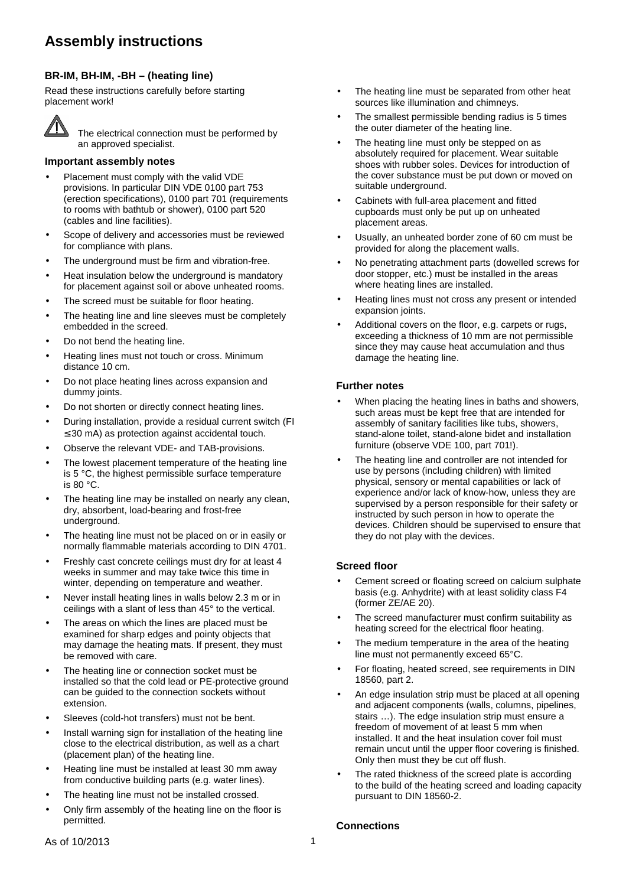# **Assembly instructions**

# **BR-IM, BH-IM, -BH – (heating line)**

Read these instructions carefully before starting placement work!



The electrical connection must be performed by an approved specialist.

## **Important assembly notes**

- Placement must comply with the valid VDE provisions. In particular DIN VDE 0100 part 753 (erection specifications), 0100 part 701 (requirements to rooms with bathtub or shower), 0100 part 520 (cables and line facilities).
- Scope of delivery and accessories must be reviewed for compliance with plans.
- The underground must be firm and vibration-free.
- Heat insulation below the underground is mandatory for placement against soil or above unheated rooms.
- The screed must be suitable for floor heating.
- The heating line and line sleeves must be completely embedded in the screed.
- Do not bend the heating line.
- Heating lines must not touch or cross. Minimum distance 10 cm.
- Do not place heating lines across expansion and dummy joints.
- Do not shorten or directly connect heating lines.
- During installation, provide a residual current switch (FI ≤ 30 mA) as protection against accidental touch.
- Observe the relevant VDE- and TAB-provisions.
- The lowest placement temperature of the heating line is 5 °C, the highest permissible surface temperature is  $80 °C$ .
- The heating line may be installed on nearly any clean, dry, absorbent, load-bearing and frost-free underground.
- The heating line must not be placed on or in easily or normally flammable materials according to DIN 4701.
- Freshly cast concrete ceilings must dry for at least 4 weeks in summer and may take twice this time in winter, depending on temperature and weather.
- Never install heating lines in walls below 2.3 m or in ceilings with a slant of less than 45° to the vertical.
- The areas on which the lines are placed must be examined for sharp edges and pointy objects that may damage the heating mats. If present, they must be removed with care.
- The heating line or connection socket must be installed so that the cold lead or PE-protective ground can be guided to the connection sockets without extension.
- Sleeves (cold-hot transfers) must not be bent.
- Install warning sign for installation of the heating line close to the electrical distribution, as well as a chart (placement plan) of the heating line.
- Heating line must be installed at least 30 mm away from conductive building parts (e.g. water lines).
- The heating line must not be installed crossed.
- Only firm assembly of the heating line on the floor is permitted.
- The heating line must be separated from other heat sources like illumination and chimneys.
- The smallest permissible bending radius is 5 times the outer diameter of the heating line.
- The heating line must only be stepped on as absolutely required for placement. Wear suitable shoes with rubber soles. Devices for introduction of the cover substance must be put down or moved on suitable underground.
- Cabinets with full-area placement and fitted cupboards must only be put up on unheated placement areas.
- Usually, an unheated border zone of 60 cm must be provided for along the placement walls.
- No penetrating attachment parts (dowelled screws for door stopper, etc.) must be installed in the areas where heating lines are installed.
- Heating lines must not cross any present or intended expansion joints.
- Additional covers on the floor, e.g. carpets or rugs, exceeding a thickness of 10 mm are not permissible since they may cause heat accumulation and thus damage the heating line.

# **Further notes**

- When placing the heating lines in baths and showers. such areas must be kept free that are intended for assembly of sanitary facilities like tubs, showers, stand-alone toilet, stand-alone bidet and installation furniture (observe VDE 100, part 701!).
- The heating line and controller are not intended for use by persons (including children) with limited physical, sensory or mental capabilities or lack of experience and/or lack of know-how, unless they are supervised by a person responsible for their safety or instructed by such person in how to operate the devices. Children should be supervised to ensure that they do not play with the devices.

# **Screed floor**

- Cement screed or floating screed on calcium sulphate basis (e.g. Anhydrite) with at least solidity class F4 (former ZE/AE 20).
- The screed manufacturer must confirm suitability as heating screed for the electrical floor heating.
- The medium temperature in the area of the heating line must not permanently exceed 65°C.
- For floating, heated screed, see requirements in DIN 18560, part 2.
- An edge insulation strip must be placed at all opening and adjacent components (walls, columns, pipelines, stairs …). The edge insulation strip must ensure a freedom of movement of at least 5 mm when installed. It and the heat insulation cover foil must remain uncut until the upper floor covering is finished. Only then must they be cut off flush.
- The rated thickness of the screed plate is according to the build of the heating screed and loading capacity pursuant to DIN 18560-2.

## **Connections**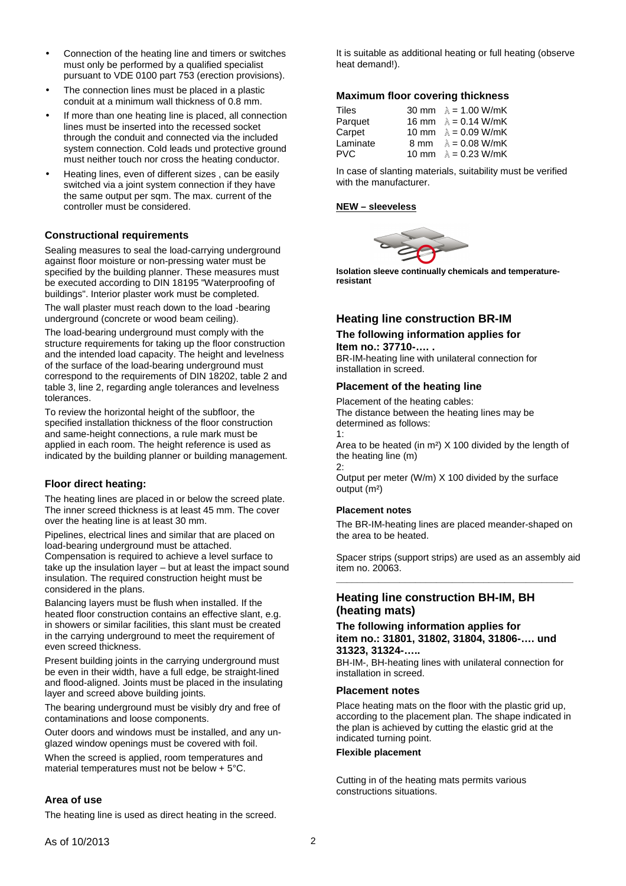- Connection of the heating line and timers or switches must only be performed by a qualified specialist pursuant to VDE 0100 part 753 (erection provisions).
- The connection lines must be placed in a plastic conduit at a minimum wall thickness of 0.8 mm.
- If more than one heating line is placed, all connection lines must be inserted into the recessed socket through the conduit and connected via the included system connection. Cold leads und protective ground must neither touch nor cross the heating conductor.
- Heating lines, even of different sizes , can be easily switched via a joint system connection if they have the same output per sqm. The max. current of the controller must be considered.

# **Constructional requirements**

Sealing measures to seal the load-carrying underground against floor moisture or non-pressing water must be specified by the building planner. These measures must be executed according to DIN 18195 "Waterproofing of buildings". Interior plaster work must be completed.

The wall plaster must reach down to the load -bearing underground (concrete or wood beam ceiling).

The load-bearing underground must comply with the structure requirements for taking up the floor construction and the intended load capacity. The height and levelness of the surface of the load-bearing underground must correspond to the requirements of DIN 18202, table 2 and table 3, line 2, regarding angle tolerances and levelness tolerances.

To review the horizontal height of the subfloor, the specified installation thickness of the floor construction and same-height connections, a rule mark must be applied in each room. The height reference is used as indicated by the building planner or building management.

## **Floor direct heating:**

The heating lines are placed in or below the screed plate. The inner screed thickness is at least 45 mm. The cover over the heating line is at least 30 mm.

Pipelines, electrical lines and similar that are placed on load-bearing underground must be attached. Compensation is required to achieve a level surface to take up the insulation layer – but at least the impact sound insulation. The required construction height must be considered in the plans.

Balancing layers must be flush when installed. If the heated floor construction contains an effective slant, e.g. in showers or similar facilities, this slant must be created in the carrying underground to meet the requirement of even screed thickness.

Present building joints in the carrying underground must be even in their width, have a full edge, be straight-lined and flood-aligned. Joints must be placed in the insulating layer and screed above building joints.

The bearing underground must be visibly dry and free of contaminations and loose components.

Outer doors and windows must be installed, and any unglazed window openings must be covered with foil.

When the screed is applied, room temperatures and material temperatures must not be below + 5°C.

## **Area of use**

The heating line is used as direct heating in the screed.

It is suitable as additional heating or full heating (observe heat demand!).

## **Maximum floor covering thickness**

| Tiles    |       | 30 mm $\lambda$ = 1.00 W/mK |
|----------|-------|-----------------------------|
| Parquet  | 16 mm | $\lambda = 0.14$ W/mK       |
| Carpet   |       | 10 mm $\lambda = 0.09$ W/mK |
| Laminate | 8 mm  | $\lambda = 0.08$ W/mK       |
| PVC.     |       | 10 mm $\lambda = 0.23$ W/mK |

In case of slanting materials, suitability must be verified with the manufacturer.

### **NEW – sleeveless**



**Isolation sleeve continually chemicals and temperatureresistant** 

# **Heating line construction BR-IM**

# **The following information applies for Item no.: 37710-…. .**

BR-IM-heating line with unilateral connection for installation in screed.

## **Placement of the heating line**

Placement of the heating cables: The distance between the heating lines may be determined as follows: 1:

Area to be heated (in m²) X 100 divided by the length of the heating line (m)

2: Output per meter (W/m) X 100 divided by the surface output (m²)

#### **Placement notes**

The BR-IM-heating lines are placed meander-shaped on the area to be heated.

Spacer strips (support strips) are used as an assembly aid item no. 20063. **\_\_\_\_\_\_\_\_\_\_\_\_\_\_\_\_\_\_\_\_\_\_\_\_\_\_\_\_\_\_\_\_\_\_\_\_\_\_\_\_\_\_\_\_\_** 

# **Heating line construction BH-IM, BH (heating mats)**

#### **The following information applies for item no.: 31801, 31802, 31804, 31806-…. und 31323, 31324-…..**

BH-IM-, BH-heating lines with unilateral connection for installation in screed.

#### **Placement notes**

Place heating mats on the floor with the plastic grid up, according to the placement plan. The shape indicated in the plan is achieved by cutting the elastic grid at the indicated turning point.

#### **Flexible placement**

Cutting in of the heating mats permits various constructions situations.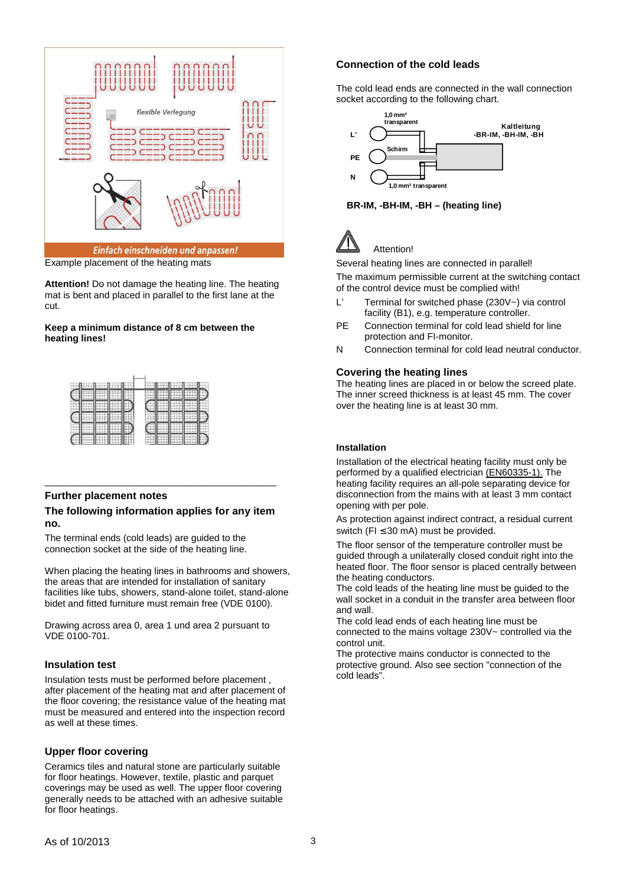

Example placement of the heating mats

**Attention!** Do not damage the heating line. The heating mat is bent and placed in parallel to the first lane at the cut.

## **Keep a minimum distance of 8 cm between the heating lines!**

## **Further placement notes**

#### **The following information applies for any item no.**

\_\_\_\_\_\_\_\_\_\_\_\_\_\_\_\_\_\_\_\_\_\_\_\_\_\_\_\_\_\_\_\_\_\_\_\_\_\_\_\_\_\_\_\_

The terminal ends (cold leads) are guided to the connection socket at the side of the heating line.

When placing the heating lines in bathrooms and showers, the areas that are intended for installation of sanitary facilities like tubs, showers, stand-alone toilet, stand-alone bidet and fitted furniture must remain free (VDE 0100).

Drawing across area 0, area 1 und area 2 pursuant to VDE 0100-701.

## **Insulation test**

Insulation tests must be performed before placement , after placement of the heating mat and after placement of the floor covering; the resistance value of the heating mat must be measured and entered into the inspection record as well at these times.

# **Upper floor covering**

Ceramics tiles and natural stone are particularly suitable for floor heatings. However, textile, plastic and parquet coverings may be used as well. The upper floor covering generally needs to be attached with an adhesive suitable for floor heatings.

# **Connection of the cold leads**

The cold lead ends are connected in the wall connection socket according to the following chart.



**BR-IM, -BH-IM, -BH – (heating line)** 



Several heating lines are connected in parallel!

The maximum permissible current at the switching contact of the control device must be complied with!

- L' Terminal for switched phase (230V~) via control facility (B1), e.g. temperature controller.
- PE Connection terminal for cold lead shield for line protection and FI-monitor.
- N Connection terminal for cold lead neutral conductor.

# **Covering the heating lines**

The heating lines are placed in or below the screed plate. The inner screed thickness is at least 45 mm. The cover over the heating line is at least 30 mm.

## **Installation**

Installation of the electrical heating facility must only be performed by a qualified electrician (EN60335-1). The heating facility requires an all-pole separating device for disconnection from the mains with at least 3 mm contact opening with per pole.

As protection against indirect contract, a residual current switch (FI  $\leq$  30 mA) must be provided.

The floor sensor of the temperature controller must be guided through a unilaterally closed conduit right into the heated floor. The floor sensor is placed centrally between the heating conductors.

The cold leads of the heating line must be guided to the wall socket in a conduit in the transfer area between floor and wall.

The cold lead ends of each heating line must be connected to the mains voltage 230V~ controlled via the control unit.

The protective mains conductor is connected to the protective ground. Also see section "connection of the cold leads".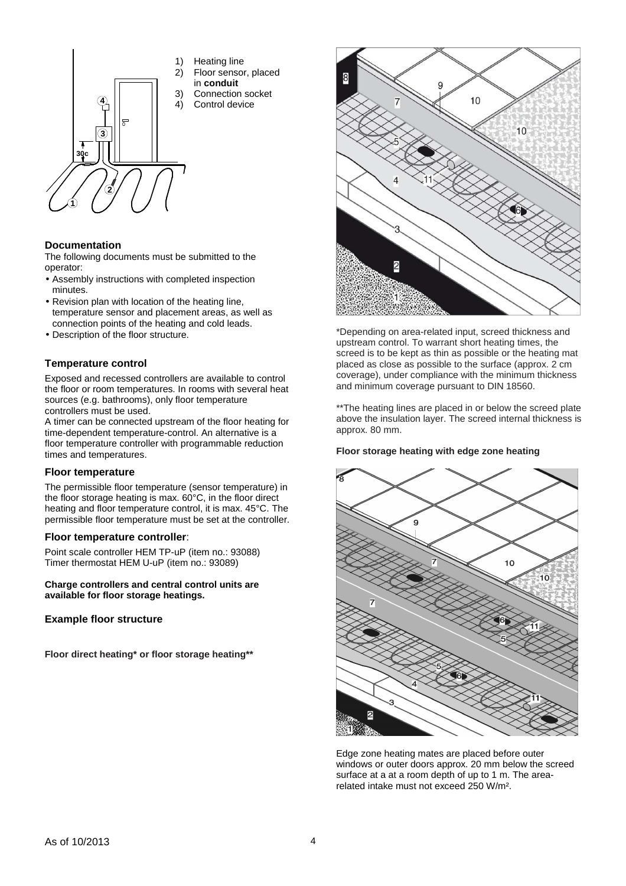- **30c m 1 2 3 4** 1) Heating line 2) Floor sensor, placed in **conduit** 3) Connection socket 4) Control device
	-
	-
	-
	-

# **Documentation**

The following documents must be submitted to the operator:

- Assembly instructions with completed inspection minutes.
- Revision plan with location of the heating line, temperature sensor and placement areas, as well as connection points of the heating and cold leads.
- Description of the floor structure.

## **Temperature control**

Exposed and recessed controllers are available to control the floor or room temperatures. In rooms with several heat sources (e.g. bathrooms), only floor temperature controllers must be used.

A timer can be connected upstream of the floor heating for time-dependent temperature-control. An alternative is a floor temperature controller with programmable reduction times and temperatures.

## **Floor temperature**

The permissible floor temperature (sensor temperature) in the floor storage heating is max. 60°C, in the floor direct heating and floor temperature control, it is max. 45°C. The permissible floor temperature must be set at the controller.

#### **Floor temperature controller**:

Point scale controller HEM TP-uP (item no.: 93088) Timer thermostat HEM U-uP (item no.: 93089)

**Charge controllers and central control units are available for floor storage heatings.** 

## **Example floor structure**

**Floor direct heating\* or floor storage heating\*\*** 



\*Depending on area-related input, screed thickness and upstream control. To warrant short heating times, the screed is to be kept as thin as possible or the heating mat placed as close as possible to the surface (approx. 2 cm coverage), under compliance with the minimum thickness and minimum coverage pursuant to DIN 18560.

\*\*The heating lines are placed in or below the screed plate above the insulation layer. The screed internal thickness is approx. 80 mm.

## **Floor storage heating with edge zone heating**



Edge zone heating mates are placed before outer windows or outer doors approx. 20 mm below the screed surface at a at a room depth of up to 1 m. The arearelated intake must not exceed 250 W/m².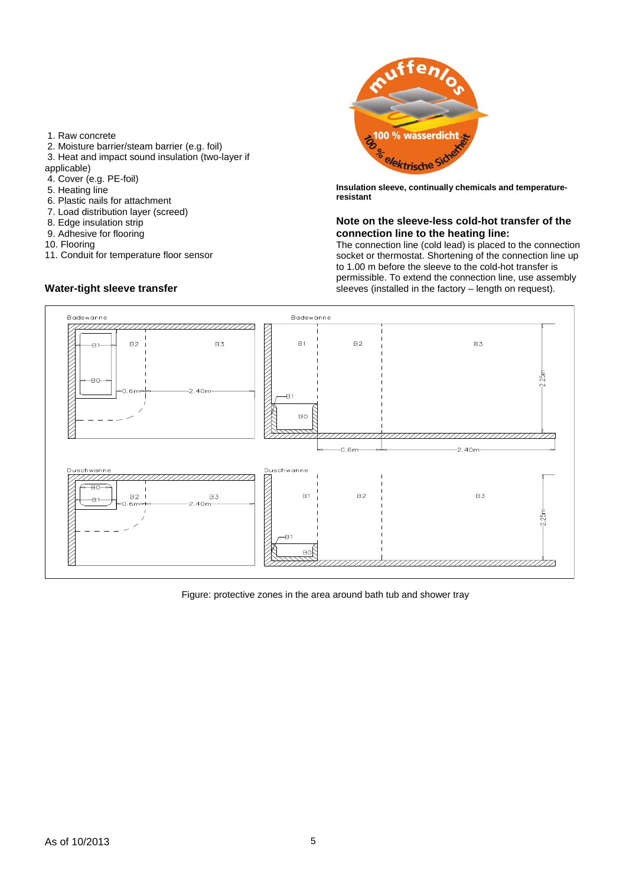- 1. Raw concrete
- 2. Moisture barrier/steam barrier (e.g. foil)
- 3. Heat and impact sound insulation (two-layer if

applicable)

- 4. Cover (e.g. PE-foil)
- 5. Heating line
- 6. Plastic nails for attachment
- 7. Load distribution layer (screed)
- 8. Edge insulation strip
- 9. Adhesive for flooring
- 10. Flooring
- 11. Conduit for temperature floor sensor

# **Water-tight sleeve transfer**



**Insulation sleeve, continually chemicals and temperatureresistant** 

## **Note on the sleeve-less cold-hot transfer of the connection line to the heating line:**

The connection line (cold lead) is placed to the connection socket or thermostat. Shortening of the connection line up to 1.00 m before the sleeve to the cold-hot transfer is permissible. To extend the connection line, use assembly sleeves (installed in the factory – length on request).



Figure: protective zones in the area around bath tub and shower tray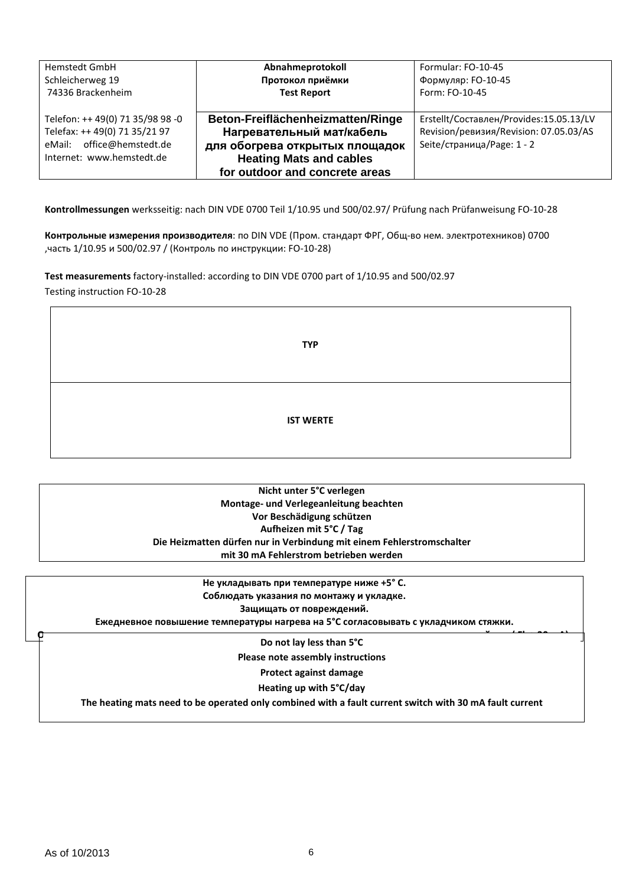| <b>Hemstedt GmbH</b>                                                                                                        | Abnahmeprotokoll                                                                                                                                                     | Formular: FO-10-45                                                                                              |
|-----------------------------------------------------------------------------------------------------------------------------|----------------------------------------------------------------------------------------------------------------------------------------------------------------------|-----------------------------------------------------------------------------------------------------------------|
| Schleicherweg 19                                                                                                            | Протокол приёмки                                                                                                                                                     | Формуляр: FO-10-45                                                                                              |
| 74336 Brackenheim                                                                                                           | <b>Test Report</b>                                                                                                                                                   | Form: FO-10-45                                                                                                  |
| Telefon: ++ 49(0) 71 35/98 98 -0<br>Telefax: ++ 49(0) 71 35/21 97<br>eMail: office@hemstedt.de<br>Internet: www.hemstedt.de | Beton-Freiflächenheizmatten/Ringe<br>Нагревательный мат/кабель<br>для обогрева открытых площадок<br><b>Heating Mats and cables</b><br>for outdoor and concrete areas | Erstellt/Составлен/Provides:15.05.13/LV<br>Revision/ревизия/Revision: 07.05.03/AS<br>Seite/страница/Раде: 1 - 2 |

**Kontrollmessungen** werksseitig: nach DIN VDE 0700 Teil 1/10.95 und 500/02.97/ Prüfung nach Prüfanweisung FO-10-28

**Контрольные измерения производителя**: по DIN VDE (Пром. стандарт ФРГ, Общ-во нем. электротехников) 0700 ,часть 1/10.95 и 500/02.97 / (Контроль по инструкции: FO-10-28)

**Test measurements** factory-installed: according to DIN VDE 0700 part of 1/10.95 and 500/02.97 Testing instruction FO-10-28

| <b>TYP</b>       |  |
|------------------|--|
| <b>IST WERTE</b> |  |

**Nicht unter 5°C verlegen Montage- und Verlegeanleitung beachten Vor Beschädigung schützen Aufheizen mit 5°C / Tag Die Heizmatten dürfen nur in Verbindung mit einem Fehlerstromschalter mit 30 mA Fehlerstrom betrieben werden** 

**Не укладывать при температуре ниже +5° С. Соблюдать указания по монтажу и укладке. Защищать от повреждений. Ежедневное повышение температуры нагрева на 5°C согласовывать с укладчиком стяжки. Отопительные маты могут эксплуатироваться только совместно с применением защитного устройства ( Fl < 30 mA). Do not lay less than 5°C Please note assembly instructions Protect against damage Heating up with 5°C/day The heating mats need to be operated only combined with a fault current switch with 30 mA fault current**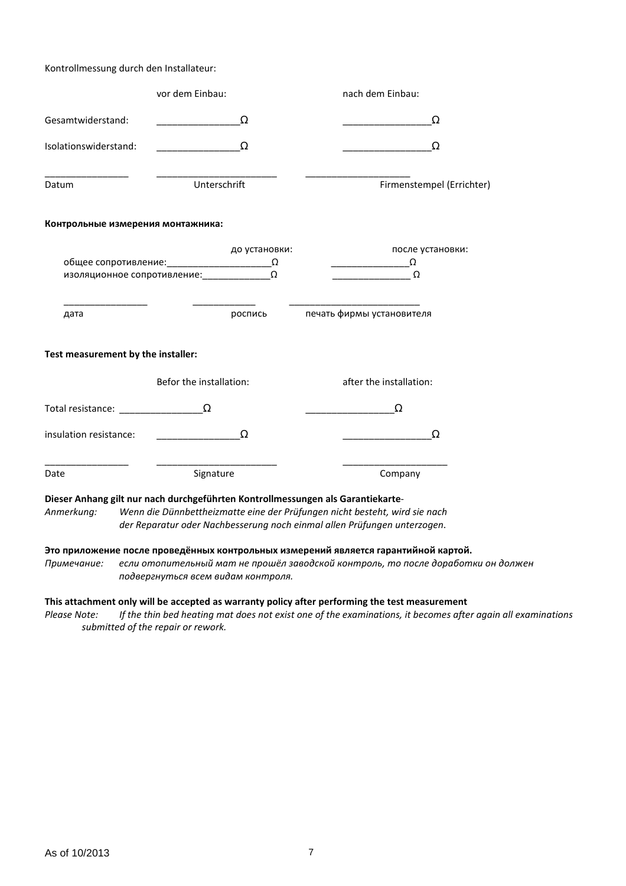## Kontrollmessung durch den Installateur:

| vor dem Einbau:                    |                         |               | nach dem Einbau:                                                                                                                                                                                                                                                                                                                                    |  |
|------------------------------------|-------------------------|---------------|-----------------------------------------------------------------------------------------------------------------------------------------------------------------------------------------------------------------------------------------------------------------------------------------------------------------------------------------------------|--|
| Gesamtwiderstand:                  |                         | Ω             | Ω                                                                                                                                                                                                                                                                                                                                                   |  |
| Isolationswiderstand:              |                         | $\Omega$      | Ω                                                                                                                                                                                                                                                                                                                                                   |  |
| Datum                              | Unterschrift            |               | Firmenstempel (Errichter)                                                                                                                                                                                                                                                                                                                           |  |
| Контрольные измерения монтажника:  |                         |               |                                                                                                                                                                                                                                                                                                                                                     |  |
|                                    |                         | до установки: | после установки:                                                                                                                                                                                                                                                                                                                                    |  |
|                                    |                         |               | $\begin{picture}(150,10) \put(0,0){\line(1,0){10}} \put(15,0){\line(1,0){10}} \put(15,0){\line(1,0){10}} \put(15,0){\line(1,0){10}} \put(15,0){\line(1,0){10}} \put(15,0){\line(1,0){10}} \put(15,0){\line(1,0){10}} \put(15,0){\line(1,0){10}} \put(15,0){\line(1,0){10}} \put(15,0){\line(1,0){10}} \put(15,0){\line(1,0){10}} \put(15,0){\line($ |  |
|                                    |                         |               | $\overline{\phantom{a}}$ $\Omega$                                                                                                                                                                                                                                                                                                                   |  |
| дата                               |                         |               | роспись печать фирмы установителя                                                                                                                                                                                                                                                                                                                   |  |
| Test measurement by the installer: |                         |               |                                                                                                                                                                                                                                                                                                                                                     |  |
|                                    | Befor the installation: |               | after the installation:                                                                                                                                                                                                                                                                                                                             |  |
| Total resistance: $\frac{\ }{\ }$  |                         |               | Ω                                                                                                                                                                                                                                                                                                                                                   |  |
| insulation resistance:             | $\Omega$                |               | Ω                                                                                                                                                                                                                                                                                                                                                   |  |
| Date                               | Signature               |               | Company                                                                                                                                                                                                                                                                                                                                             |  |
|                                    |                         |               | Dieser Anhang gilt nur nach durchgeführten Kontrollmessungen als Garantiekarte-<br>$\mathbf{r}$ and the state in the state of the state $\mathbf{r}$                                                                                                                                                                                                |  |

*Anmerkung: Wenn die Dünnbettheizmatte eine der Prüfungen nicht besteht, wird sie nach der Reparatur oder Nachbesserung noch einmal allen Prüfungen unterzogen*.

# **Это приложение после проведённых контрольных измерений является гарантийной картой.**

*Примечание: если отопительный мат не прошёл заводской контроль, то после доработки он должен подвергнуться всем видам контроля.* 

## **This attachment only will be accepted as warranty policy after performing the test measurement**

*Please Note: If the thin bed heating mat does not exist one of the examinations, it becomes after again all examinations submitted of the repair or rework.*